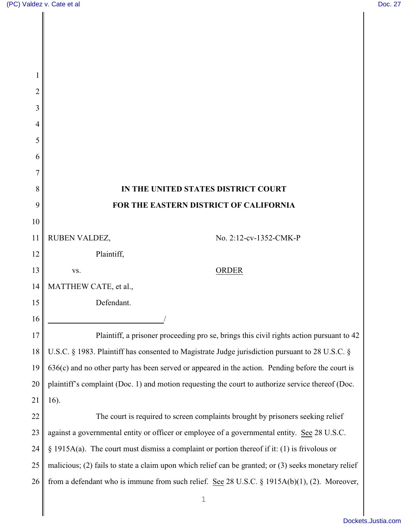| $\overline{c}$ |                                                                                                      |  |
|----------------|------------------------------------------------------------------------------------------------------|--|
| 3              |                                                                                                      |  |
| 4              |                                                                                                      |  |
| 5              |                                                                                                      |  |
| 6              |                                                                                                      |  |
| 7              |                                                                                                      |  |
| 8              | IN THE UNITED STATES DISTRICT COURT                                                                  |  |
| 9              | FOR THE EASTERN DISTRICT OF CALIFORNIA                                                               |  |
| 10             |                                                                                                      |  |
| 11             | RUBEN VALDEZ,<br>No. 2:12-cv-1352-CMK-P                                                              |  |
| 12             | Plaintiff,                                                                                           |  |
| 13             | <b>ORDER</b><br>VS.                                                                                  |  |
| 14             | MATTHEW CATE, et al.,                                                                                |  |
| 15             | Defendant.                                                                                           |  |
| 16             |                                                                                                      |  |
| 17             | Plaintiff, a prisoner proceeding pro se, brings this civil rights action pursuant to 42              |  |
| 18             | U.S.C. § 1983. Plaintiff has consented to Magistrate Judge jurisdiction pursuant to 28 U.S.C. §      |  |
| 19             | 636(c) and no other party has been served or appeared in the action. Pending before the court is     |  |
| 20             | plaintiff's complaint (Doc. 1) and motion requesting the court to authorize service thereof (Doc.    |  |
| 21             | 16).                                                                                                 |  |
| 22             | The court is required to screen complaints brought by prisoners seeking relief                       |  |
| 23             | against a governmental entity or officer or employee of a governmental entity. See 28 U.S.C.         |  |
| 24             | § 1915A(a). The court must dismiss a complaint or portion thereof if it: (1) is frivolous or         |  |
| 25             | malicious; (2) fails to state a claim upon which relief can be granted; or (3) seeks monetary relief |  |
| 26             | from a defendant who is immune from such relief. See 28 U.S.C. § 1915A(b)(1), (2). Moreover,         |  |
|                | $1\,$                                                                                                |  |
|                |                                                                                                      |  |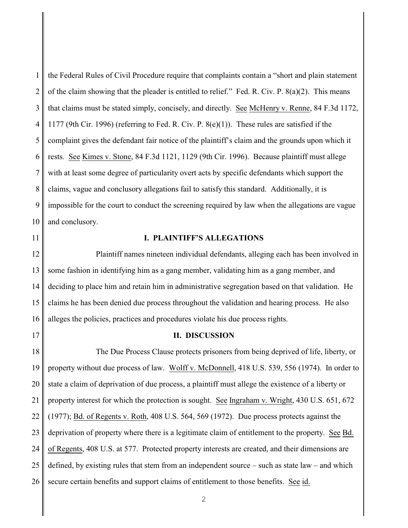1 2 3 4 5 6 7 8 9 10 the Federal Rules of Civil Procedure require that complaints contain a "short and plain statement of the claim showing that the pleader is entitled to relief." Fed. R. Civ. P. 8(a)(2). This means that claims must be stated simply, concisely, and directly. See McHenry v. Renne, 84 F.3d 1172, 1177 (9th Cir. 1996) (referring to Fed. R. Civ. P. 8(e)(1)). These rules are satisfied if the complaint gives the defendant fair notice of the plaintiff's claim and the grounds upon which it rests. See Kimes v. Stone, 84 F.3d 1121, 1129 (9th Cir. 1996). Because plaintiff must allege with at least some degree of particularity overt acts by specific defendants which support the claims, vague and conclusory allegations fail to satisfy this standard. Additionally, it is impossible for the court to conduct the screening required by law when the allegations are vague and conclusory.

11

17

## **I. PLAINTIFF'S ALLEGATIONS**

12 13 14 15 16 Plaintiff names nineteen individual defendants, alleging each has been involved in some fashion in identifying him as a gang member, validating him as a gang member, and deciding to place him and retain him in administrative segregation based on that validation. He claims he has been denied due process throughout the validation and hearing process. He also alleges the policies, practices and procedures violate his due process rights.

## **II. DISCUSSION**

18 19 20 21 22 23 24 25 26 The Due Process Clause protects prisoners from being deprived of life, liberty, or property without due process of law. Wolff v. McDonnell, 418 U.S. 539, 556 (1974). In order to state a claim of deprivation of due process, a plaintiff must allege the existence of a liberty or property interest for which the protection is sought. See Ingraham v. Wright, 430 U.S. 651, 672 (1977); Bd. of Regents v. Roth, 408 U.S. 564, 569 (1972). Due process protects against the deprivation of property where there is a legitimate claim of entitlement to the property. See Bd. of Regents, 408 U.S. at 577. Protected property interests are created, and their dimensions are defined, by existing rules that stem from an independent source – such as state law – and which secure certain benefits and support claims of entitlement to those benefits. See id.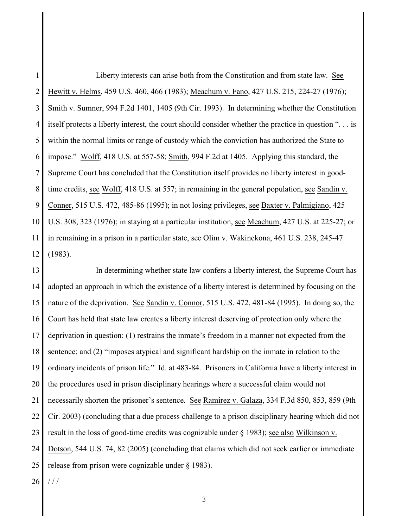1 2 3 4 5 6 7 8 9 10 11 12 Liberty interests can arise both from the Constitution and from state law. See Hewitt v. Helms, 459 U.S. 460, 466 (1983); Meachum v. Fano, 427 U.S. 215, 224-27 (1976); Smith v. Sumner, 994 F.2d 1401, 1405 (9th Cir. 1993). In determining whether the Constitution itself protects a liberty interest, the court should consider whether the practice in question ". . . is within the normal limits or range of custody which the conviction has authorized the State to impose." Wolff, 418 U.S. at 557-58; Smith, 994 F.2d at 1405. Applying this standard, the Supreme Court has concluded that the Constitution itself provides no liberty interest in goodtime credits, see Wolff, 418 U.S. at 557; in remaining in the general population, see Sandin v. Conner, 515 U.S. 472, 485-86 (1995); in not losing privileges, see Baxter v. Palmigiano, 425 U.S. 308, 323 (1976); in staying at a particular institution, see Meachum, 427 U.S. at 225-27; or in remaining in a prison in a particular state, see Olim v. Wakinekona, 461 U.S. 238, 245-47 (1983).

13 14 15 16 17 18 19 20 21 22 23 24 25 In determining whether state law confers a liberty interest, the Supreme Court has adopted an approach in which the existence of a liberty interest is determined by focusing on the nature of the deprivation. See Sandin v. Connor, 515 U.S. 472, 481-84 (1995). In doing so, the Court has held that state law creates a liberty interest deserving of protection only where the deprivation in question: (1) restrains the inmate's freedom in a manner not expected from the sentence; and (2) "imposes atypical and significant hardship on the inmate in relation to the ordinary incidents of prison life." Id. at 483-84. Prisoners in California have a liberty interest in the procedures used in prison disciplinary hearings where a successful claim would not necessarily shorten the prisoner's sentence. See Ramirez v. Galaza, 334 F.3d 850, 853, 859 (9th Cir. 2003) (concluding that a due process challenge to a prison disciplinary hearing which did not result in the loss of good-time credits was cognizable under § 1983); see also Wilkinson v. Dotson, 544 U.S. 74, 82 (2005) (concluding that claims which did not seek earlier or immediate release from prison were cognizable under § 1983).

26  $1/1$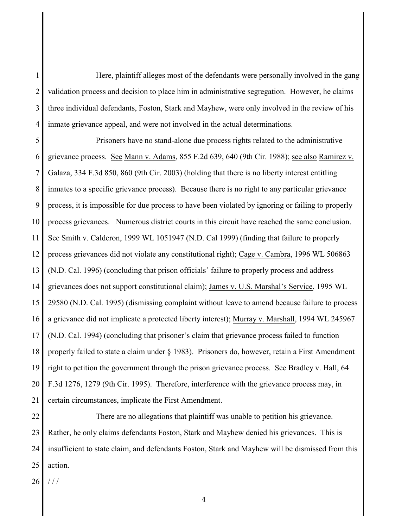1 2 3 4 Here, plaintiff alleges most of the defendants were personally involved in the gang validation process and decision to place him in administrative segregation. However, he claims three individual defendants, Foston, Stark and Mayhew, were only involved in the review of his inmate grievance appeal, and were not involved in the actual determinations.

5 6 7 8 9 10 11 12 13 14 15 16 17 18 19 20 21 Prisoners have no stand-alone due process rights related to the administrative grievance process. See Mann v. Adams, 855 F.2d 639, 640 (9th Cir. 1988); see also Ramirez v. Galaza, 334 F.3d 850, 860 (9th Cir. 2003) (holding that there is no liberty interest entitling inmates to a specific grievance process). Because there is no right to any particular grievance process, it is impossible for due process to have been violated by ignoring or failing to properly process grievances. Numerous district courts in this circuit have reached the same conclusion. See Smith v. Calderon, 1999 WL 1051947 (N.D. Cal 1999) (finding that failure to properly process grievances did not violate any constitutional right); Cage v. Cambra, 1996 WL 506863 (N.D. Cal. 1996) (concluding that prison officials' failure to properly process and address grievances does not support constitutional claim); James v. U.S. Marshal's Service, 1995 WL 29580 (N.D. Cal. 1995) (dismissing complaint without leave to amend because failure to process a grievance did not implicate a protected liberty interest); Murray v. Marshall, 1994 WL 245967 (N.D. Cal. 1994) (concluding that prisoner's claim that grievance process failed to function properly failed to state a claim under § 1983). Prisoners do, however, retain a First Amendment right to petition the government through the prison grievance process. See Bradley v. Hall, 64 F.3d 1276, 1279 (9th Cir. 1995). Therefore, interference with the grievance process may, in certain circumstances, implicate the First Amendment.

22 23 24 25 There are no allegations that plaintiff was unable to petition his grievance. Rather, he only claims defendants Foston, Stark and Mayhew denied his grievances. This is insufficient to state claim, and defendants Foston, Stark and Mayhew will be dismissed from this action.

26  $1/1$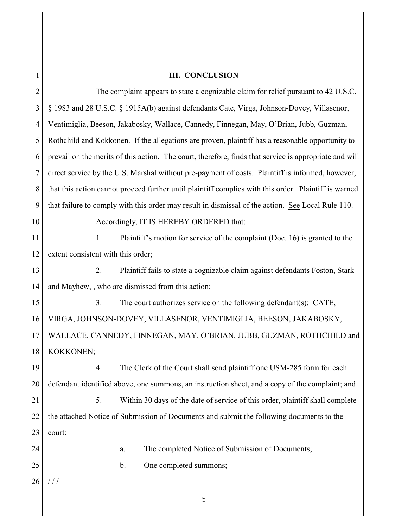## **III. CONCLUSION**

|                | <b>III. CONCLUSION</b>                                                                                 |
|----------------|--------------------------------------------------------------------------------------------------------|
| $\overline{2}$ | The complaint appears to state a cognizable claim for relief pursuant to 42 U.S.C.                     |
| 3              | § 1983 and 28 U.S.C. § 1915A(b) against defendants Cate, Virga, Johnson-Dovey, Villasenor,             |
| 4              | Ventimiglia, Beeson, Jakabosky, Wallace, Cannedy, Finnegan, May, O'Brian, Jubb, Guzman,                |
| 5              | Rothchild and Kokkonen. If the allegations are proven, plaintiff has a reasonable opportunity to       |
| 6              | prevail on the merits of this action. The court, therefore, finds that service is appropriate and will |
| 7              | direct service by the U.S. Marshal without pre-payment of costs. Plaintiff is informed, however,       |
| 8              | that this action cannot proceed further until plaintiff complies with this order. Plaintiff is warned  |
| 9              | that failure to comply with this order may result in dismissal of the action. See Local Rule 110.      |
| 10             | Accordingly, IT IS HEREBY ORDERED that:                                                                |
| 11             | Plaintiff's motion for service of the complaint (Doc. 16) is granted to the<br>1.                      |
| 12             | extent consistent with this order;                                                                     |
| 13             | Plaintiff fails to state a cognizable claim against defendants Foston, Stark<br>2.                     |
| 14             | and Mayhew, , who are dismissed from this action;                                                      |
| 15             | The court authorizes service on the following defendant(s): CATE,<br>3.                                |
| 16             | VIRGA, JOHNSON-DOVEY, VILLASENOR, VENTIMIGLIA, BEESON, JAKABOSKY,                                      |
| 17             | WALLACE, CANNEDY, FINNEGAN, MAY, O'BRIAN, JUBB, GUZMAN, ROTHCHILD and                                  |
| 18             | KOKKONEN;                                                                                              |
| 19             | The Clerk of the Court shall send plaintiff one USM-285 form for each<br>4.                            |
| 20             | defendant identified above, one summons, an instruction sheet, and a copy of the complaint; and        |
| 21             | 5.<br>Within 30 days of the date of service of this order, plaintiff shall complete                    |
| 22             | the attached Notice of Submission of Documents and submit the following documents to the               |
| 23             | court:                                                                                                 |
| 24             | The completed Notice of Submission of Documents;<br>a.                                                 |
| 25             | One completed summons;<br>b.                                                                           |
| 26             |                                                                                                        |
|                | 5                                                                                                      |
|                |                                                                                                        |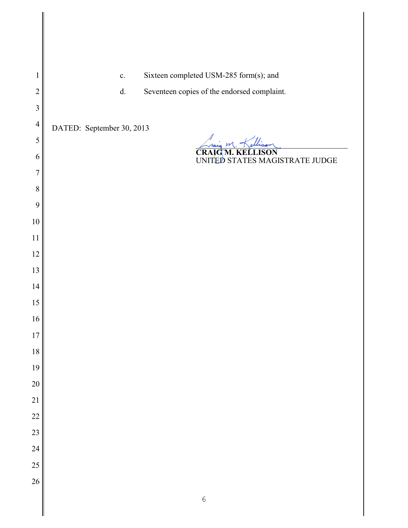- c. Sixteen completed USM-285 form(s); and
- d. Seventeen copies of the endorsed complaint.

DATED: September 30, 2013

Lraig M. Kellison

**CRAIG M. KELLISON** UNITED STATES MAGISTRATE JUDGE